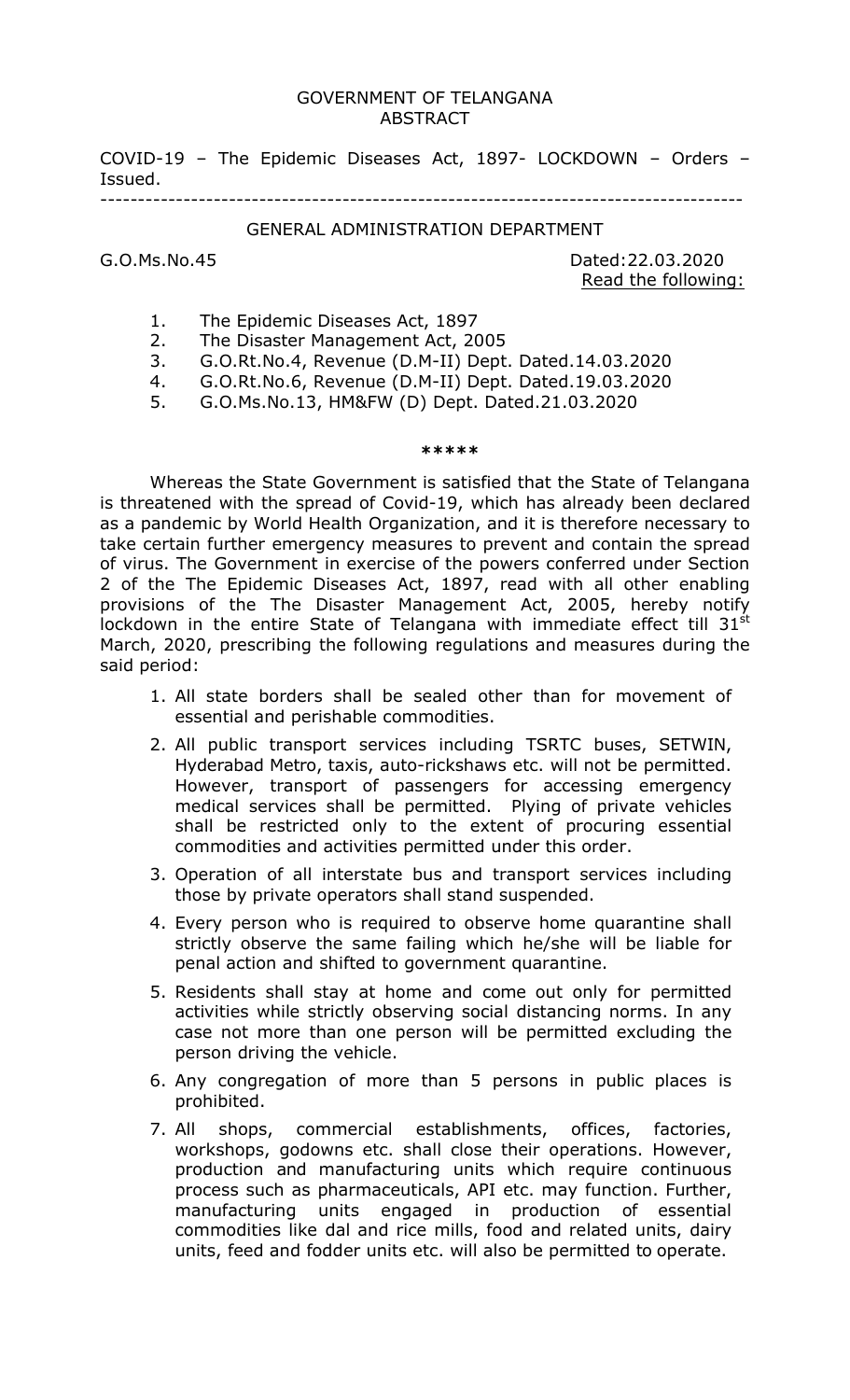## GOVERNMENT OF TELANGANA ABSTRACT

COVID-19 – The Epidemic Diseases Act, 1897- LOCKDOWN – Orders – Issued. -------------------------------------------------------------------------------------

## GENERAL ADMINISTRATION DEPARTMENT

G.O.Ms.No.45 Dated:22.03.2020 Read the following:

- 1. The Epidemic Diseases Act, 1897
- 2. The Disaster Management Act, 2005
- 3. G.O.Rt.No.4, Revenue (D.M-II) Dept. Dated.14.03.2020
- 4. G.O.Rt.No.6, Revenue (D.M-II) Dept. Dated.19.03.2020
- 5. G.O.Ms.No.13, HM&FW (D) Dept. Dated.21.03.2020

## \*\*\*\*\*

Whereas the State Government is satisfied that the State of Telangana is threatened with the spread of Covid-19, which has already been declared as a pandemic by World Health Organization, and it is therefore necessary to take certain further emergency measures to prevent and contain the spread of virus. The Government in exercise of the powers conferred under Section 2 of the The Epidemic Diseases Act, 1897, read with all other enabling provisions of the The Disaster Management Act, 2005, hereby notify lockdown in the entire State of Telangana with immediate effect till 31 $^{\rm st}$ March, 2020, prescribing the following regulations and measures during the said period:

- 1. All state borders shall be sealed other than for movement of essential and perishable commodities.
- 2. All public transport services including TSRTC buses, SETWIN, Hyderabad Metro, taxis, auto-rickshaws etc. will not be permitted. However, transport of passengers for accessing emergency medical services shall be permitted. Plying of private vehicles shall be restricted only to the extent of procuring essential commodities and activities permitted under this order.
- 3. Operation of all interstate bus and transport services including those by private operators shall stand suspended.
- 4. Every person who is required to observe home quarantine shall strictly observe the same failing which he/she will be liable for penal action and shifted to government quarantine.
- 5. Residents shall stay at home and come out only for permitted activities while strictly observing social distancing norms. In any case not more than one person will be permitted excluding the person driving the vehicle.
- 6. Any congregation of more than 5 persons in public places is prohibited.
- 7. All shops, commercial establishments, offices, factories, workshops, godowns etc. shall close their operations. However, production and manufacturing units which require continuous process such as pharmaceuticals, API etc. may function. Further, manufacturing units engaged in production of essential commodities like dal and rice mills, food and related units, dairy units, feed and fodder units etc. will also be permitted to operate.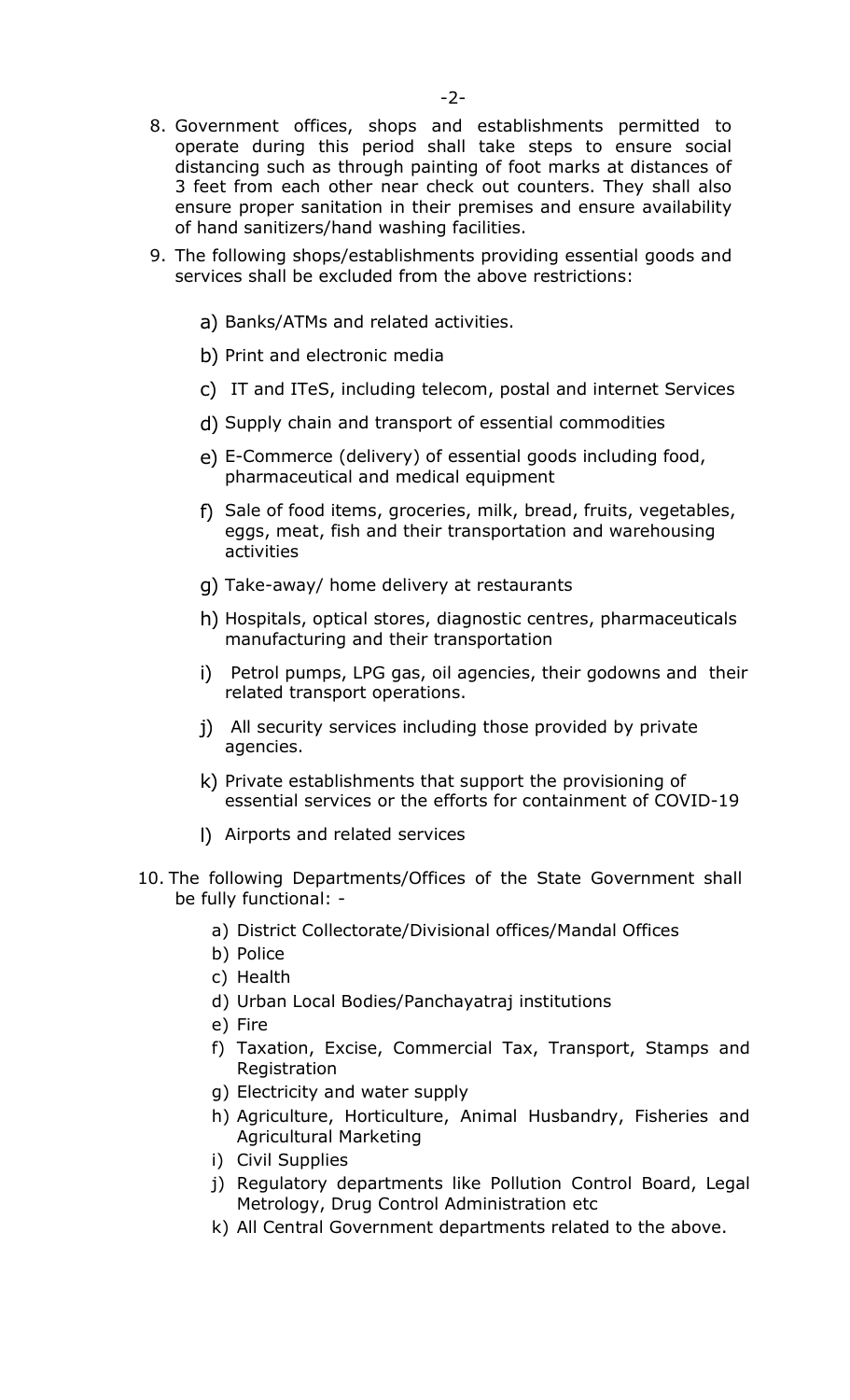- 8. Government offices, shops and establishments permitted to operate during this period shall take steps to ensure social distancing such as through painting of foot marks at distances of 3 feet from each other near check out counters. They shall also ensure proper sanitation in their premises and ensure availability of hand sanitizers/hand washing facilities.
- 9. The following shops/establishments providing essential goods and services shall be excluded from the above restrictions:
	- a) Banks/ATMs and related activities.
	- b) Print and electronic media
	- c) IT and ITeS, including telecom, postal and internet Services
	- d) Supply chain and transport of essential commodities
	- e) E-Commerce (delivery) of essential goods including food, pharmaceutical and medical equipment
	- f) Sale of food items, groceries, milk, bread, fruits, vegetables, eggs, meat, fish and their transportation and warehousing activities
	- g) Take-away/ home delivery at restaurants
	- h) Hospitals, optical stores, diagnostic centres, pharmaceuticals manufacturing and their transportation
	- i) Petrol pumps, LPG gas, oil agencies, their godowns and their related transport operations.
	- j) All security services including those provided by private agencies.
	- k) Private establishments that support the provisioning of essential services or the efforts for containment of COVID-19
	- l) Airports and related services
- 10. The following Departments/Offices of the State Government shall be fully functional:
	- a) District Collectorate/Divisional offices/Mandal Offices
	- b) Police
	- c) Health
	- d) Urban Local Bodies/Panchayatraj institutions
	- e) Fire
	- f) Taxation, Excise, Commercial Tax, Transport, Stamps and Registration
	- g) Electricity and water supply
	- h) Agriculture, Horticulture, Animal Husbandry, Fisheries and Agricultural Marketing
	- i) Civil Supplies
	- j) Regulatory departments like Pollution Control Board, Legal Metrology, Drug Control Administration etc
	- k) All Central Government departments related to the above.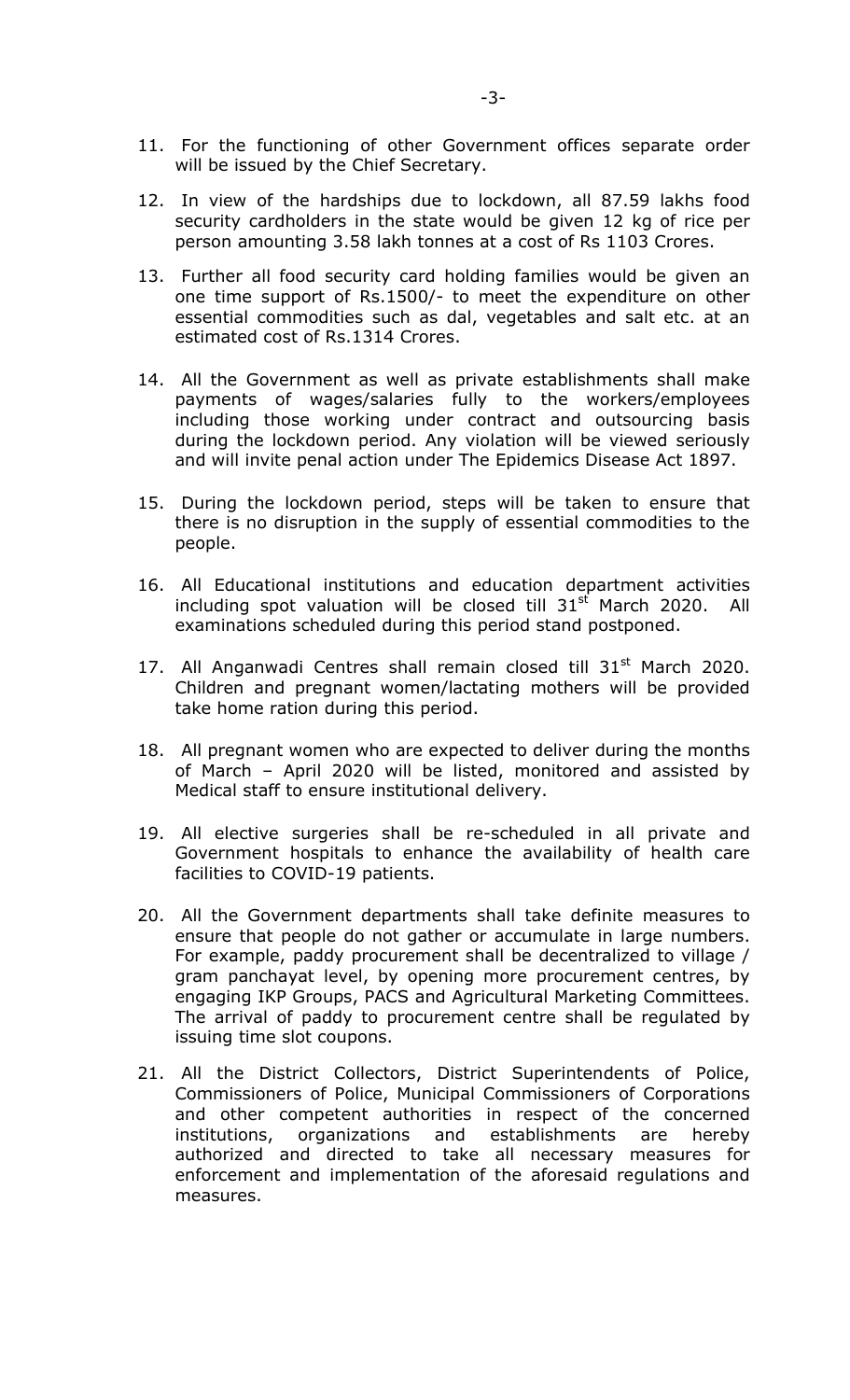- 11. For the functioning of other Government offices separate order will be issued by the Chief Secretary.
- 12. In view of the hardships due to lockdown, all 87.59 lakhs food security cardholders in the state would be given 12 kg of rice per person amounting 3.58 lakh tonnes at a cost of Rs 1103 Crores.
- 13. Further all food security card holding families would be given an one time support of Rs.1500/- to meet the expenditure on other essential commodities such as dal, vegetables and salt etc. at an estimated cost of Rs.1314 Crores.
- 14. All the Government as well as private establishments shall make payments of wages/salaries fully to the workers/employees including those working under contract and outsourcing basis during the lockdown period. Any violation will be viewed seriously and will invite penal action under The Epidemics Disease Act 1897.
- 15. During the lockdown period, steps will be taken to ensure that there is no disruption in the supply of essential commodities to the people.
- 16. All Educational institutions and education department activities including spot valuation will be closed till  $31<sup>st</sup>$  March 2020. All examinations scheduled during this period stand postponed.
- 17. All Anganwadi Centres shall remain closed till  $31<sup>st</sup>$  March 2020. Children and pregnant women/lactating mothers will be provided take home ration during this period.
- 18. All pregnant women who are expected to deliver during the months of March – April 2020 will be listed, monitored and assisted by Medical staff to ensure institutional delivery.
- 19. All elective surgeries shall be re-scheduled in all private and Government hospitals to enhance the availability of health care facilities to COVID-19 patients.
- 20. All the Government departments shall take definite measures to ensure that people do not gather or accumulate in large numbers. For example, paddy procurement shall be decentralized to village / gram panchayat level, by opening more procurement centres, by engaging IKP Groups, PACS and Agricultural Marketing Committees. The arrival of paddy to procurement centre shall be regulated by issuing time slot coupons.
- 21. All the District Collectors, District Superintendents of Police, Commissioners of Police, Municipal Commissioners of Corporations and other competent authorities in respect of the concerned institutions, organizations and establishments are hereby authorized and directed to take all necessary measures for enforcement and implementation of the aforesaid regulations and measures.